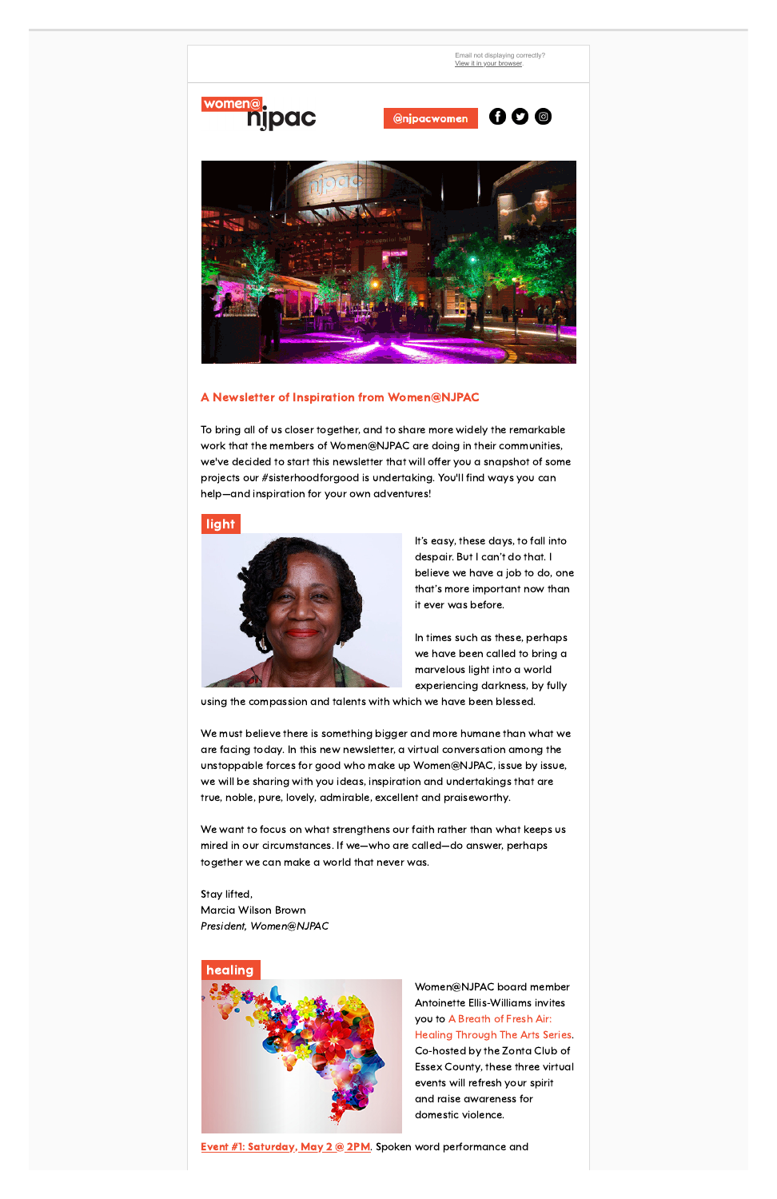

## A Newsletter of Inspiration from Women@NJPAC

To bring all of us closer together, and to share more widely the remarkable work that the members of Women@NJPAC are doing in their communities, we've decided to start this newsletter that will offer you a snapshot of some projects our #sisterhoodforgood is undertaking. You'll find ways you can help—and inspiration for your own adventures!

# light



It's easy, these days, to fall into despair. But I can't do that. I believe we have a job to do, one that's more important now than it ever was before.

In times such as these, perhaps we have been called to bring a marvelous light into a world experiencing darkness, by fully

using the compassion and talents with which we have been blessed.

We must believe there is something bigger and more humane than what we are facing today. In this new newsletter, a virtual conversation among the unstoppable forces for good who make up Women@NJPAC, issue by issue, we will be sharing with you ideas, inspiration and undertakings that are true, noble, pure, lovely, admirable, excellent and praiseworthy.

We want to focus on what strengthens our faith rather than what keeps us mired in our circumstances. If we—who are called—do answer, perhaps together we can make a world that never was.

Stay lifted, Marcia Wilson Brown President, Women@NJPAC

# healing



Women@NJPAC board member Antoinette Ellis-Williams invites you to A Breath of Fresh Air: Healing [Through](https://go.pardot.com/e/707833/aling-through-the-arts-series-/3fxdv/126257903?h=3JvzB0BY7PCsGPLl8ReaKX0NJH-kiHUMSIzT2SCx__4) The Arts Series. Co-hosted by the Zonta Club of Essex County, these three virtual events will refresh your spirit and raise awareness for domestic violence.

**Event #1: [Saturday,](https://go.pardot.com/e/707833/ord-performances-conversation-/3fxfv/126257903?h=3JvzB0BY7PCsGPLl8ReaKX0NJH-kiHUMSIzT2SCx__4) May 2 @ 2PM.** Spoken word performance and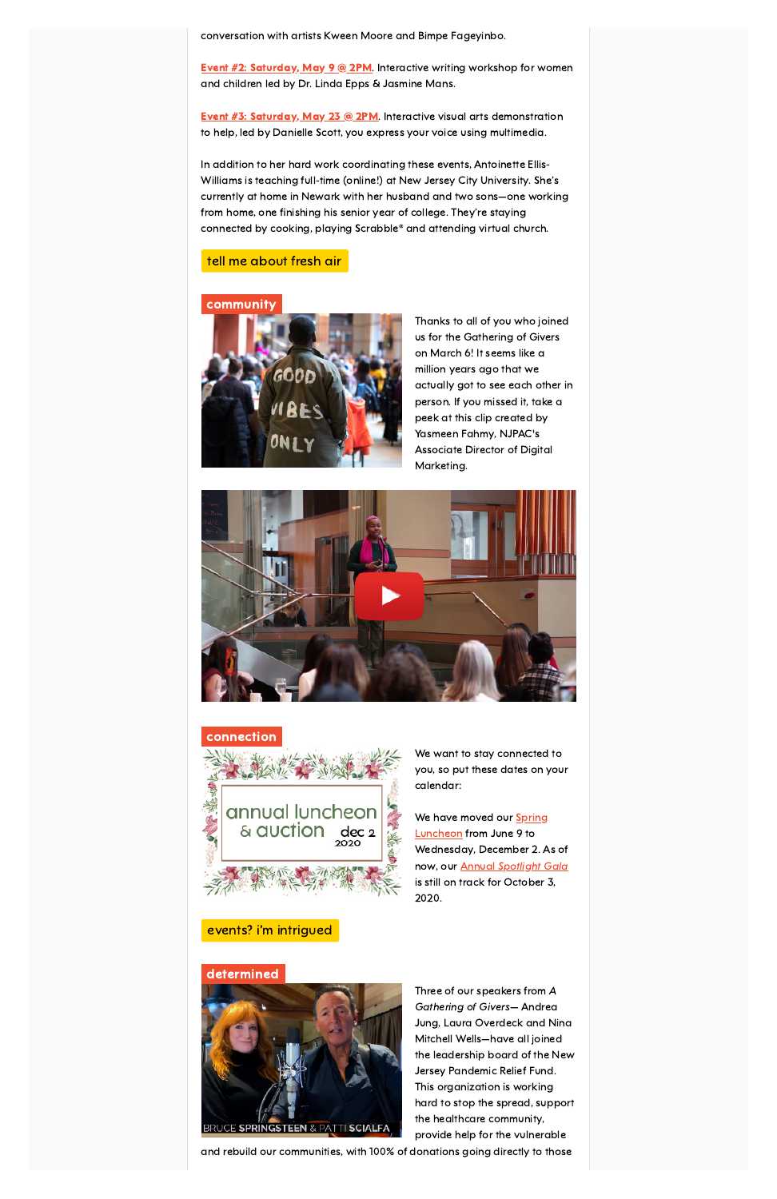conversation with artists Kween Moore and Bimpe Fageyinbo.

**Event #2: [Saturday,](https://go.pardot.com/e/707833/writing-workshop-registration-/3fxfx/126257903?h=3JvzB0BY7PCsGPLl8ReaKX0NJH-kiHUMSIzT2SCx__4) May 9 @ 2PM.** Interactive writing workshop for women and children led by Dr. Linda Epps & Jasmine Mans.

**Event #3: [Saturday,](https://go.pardot.com/e/707833/al-arts-workshop-registration-/3fxfz/126257903?h=3JvzB0BY7PCsGPLl8ReaKX0NJH-kiHUMSIzT2SCx__4) May 23 @ 2PM.** Interactive visual arts demonstration to help, led by Danielle Scott, you express your voice using multimedia.

In addition to her hard work coordinating these events, Antoinette Ellis-Williams is teaching full-time (online!) at New Jersey City University. She's currently at home in Newark with her husband and two sons—one working from home, one finishing his senior year of college. They're staying connected by cooking, playing Scrabble® and attending virtual church.

> We have moved our **Spring** [Luncheon](https://go.pardot.com/e/707833/event-spring-luncheon-auction-/3fxf2/126257903?h=3JvzB0BY7PCsGPLl8ReaKX0NJH-kiHUMSIzT2SCx__4) from June 9 to Wednesday, December 2. As of now, our **Annual [Spotlight](https://go.pardot.com/e/707833/ciation-annual-spotlight-gala-/3fxf4/126257903?h=3JvzB0BY7PCsGPLl8ReaKX0NJH-kiHUMSIzT2SCx__4) Gala** is still on track for October 3, 2020.



#### tell me [about](https://go.pardot.com/e/707833/aling-through-the-arts-series-/3fxdv/126257903?h=3JvzB0BY7PCsGPLl8ReaKX0NJH-kiHUMSIzT2SCx__4) fresh air

#### community



Thanks to all of you who joined us for the Gathering of Givers on March 6! It seems like a million years ago that we actually got to see each other in [p](https://go.pardot.com/e/707833/support-women-at-njpac-/3fxdx/126257903?h=3JvzB0BY7PCsGPLl8ReaKX0NJH-kiHUMSIzT2SCx__4)erson. If you missed it, take a peek at this clip created by Yasmeen Fahmy, NJPAC's Associate Director of Digital Marketing.



#### connection



We want to stay connected to [y](https://go.pardot.com/e/707833/support-women-at-njpac-/3fxdx/126257903?h=3JvzB0BY7PCsGPLl8ReaKX0NJH-kiHUMSIzT2SCx__4)ou, so put these dates on your calendar:

# events? i'm [intrigued](https://go.pardot.com/e/707833/support-women-at-njpac-/3fxf6/126257903?h=3JvzB0BY7PCsGPLl8ReaKX0NJH-kiHUMSIzT2SCx__4)

# determined



Three of our speakers from A Gathering of Givers— Andrea [J](https://go.pardot.com/e/707833/2020-05-01/3fxf8/126257903?h=3JvzB0BY7PCsGPLl8ReaKX0NJH-kiHUMSIzT2SCx__4)ung, Laura Overdeck and Nina Mitchell Wells—have all joined the leadership board of the New Jersey Pandemic Relief Fund. This organization is working hard to stop the spread, support the healthcare community, provide help for the vulnerable

and rebuild our communities, with 100% of donations going directly to those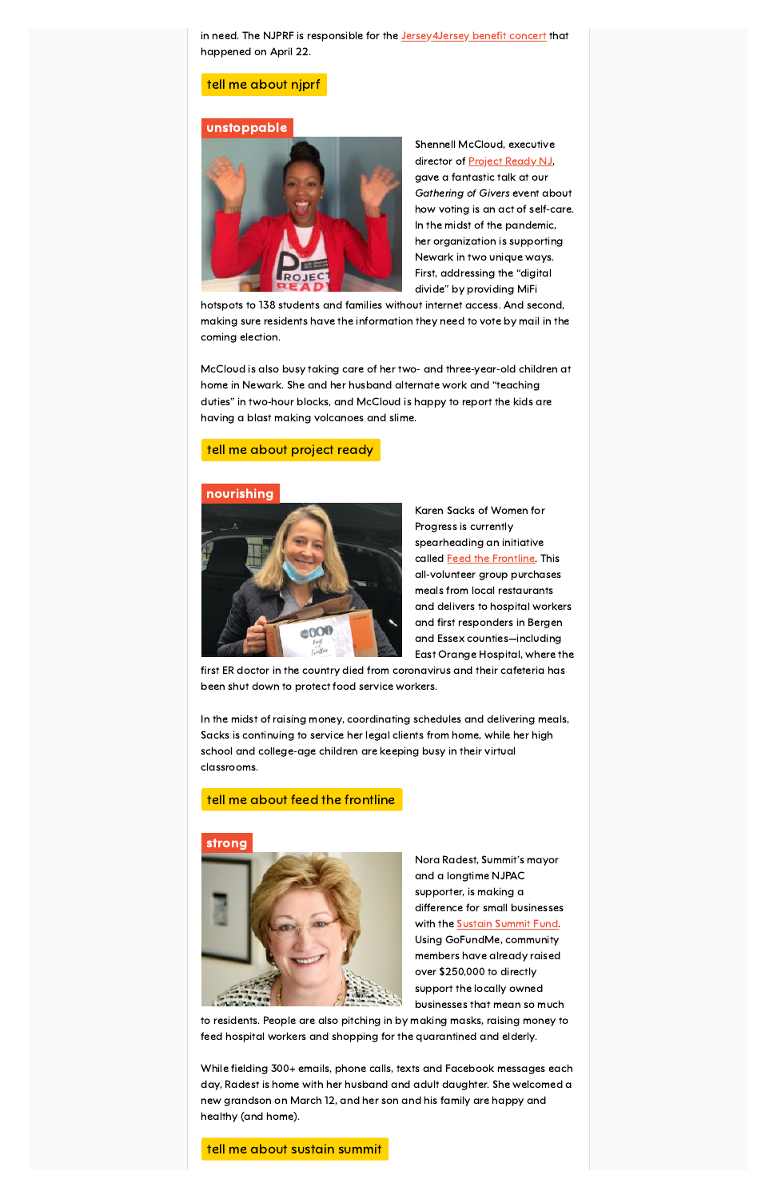in need. The NJPRF is responsible for the Jersey 4Jersey benefit concert that happened on April 22.

#### tell me [about](https://go.pardot.com/e/707833/2020-05-01/3fxf8/126257903?h=3JvzB0BY7PCsGPLl8ReaKX0NJH-kiHUMSIzT2SCx__4) njprf

#### unstoppable



Shennell McCloud, executive director of [Project](https://go.pardot.com/e/707833/projectreadynj-/3fxfd/126257903?h=3JvzB0BY7PCsGPLl8ReaKX0NJH-kiHUMSIzT2SCx__4) Ready NJ, gave a fantastic talk at our Gathering of Givers event about how voting is an act of self-care. In the midst of the pandemic, her organization is supporting Newark in two unique ways. First, addressing the "digital divide" by providing MiFi

hotspots to 138 students and families without internet access. And second, making sure residents have the information they need to vote by mail in the coming election.

McCloud is also busy taking care of her two- and three-year-old children at home in Newark. She and her husband alternate work and "teaching duties" in two-hour blocks, and McCloud is happy to report the kids are having a blast making volcanoes and slime.

### tell me about [project](https://go.pardot.com/e/707833/projectreadynj-/3fxfd/126257903?h=3JvzB0BY7PCsGPLl8ReaKX0NJH-kiHUMSIzT2SCx__4) ready

#### nourishing



Karen Sacks of Women for Progress is currently spearheading an initiative called **Feed the [Frontline](https://go.pardot.com/e/707833/feed-the-frontline-/3fxfg/126257903?h=3JvzB0BY7PCsGPLl8ReaKX0NJH-kiHUMSIzT2SCx__4)**. This all-volunteer group purchases meals from local restaurants and delivers to hospital workers and first responders in Bergen and Essex counties—including East Orange Hospital, where the

first ER doctor in the country died from coronavirus and their cafeteria has been shut down to protect food service workers.

In the midst of raising money, coordinating schedules and delivering meals, Sacks is continuing to service her legal clients from home, while her high school and college-age children are keeping busy in their virtual classrooms.

#### tell me about feed the [frontline](https://go.pardot.com/e/707833/feed-the-frontline-/3fxfg/126257903?h=3JvzB0BY7PCsGPLl8ReaKX0NJH-kiHUMSIzT2SCx__4)

# strong



Nora Radest, Summit's mayor and a longtime NJPAC supporter, is making a difference for small businesses with the **Sustain [Summit](https://go.pardot.com/e/707833/2020-05-01/3fxfj/126257903?h=3JvzB0BY7PCsGPLl8ReaKX0NJH-kiHUMSIzT2SCx__4) Fund**. Using GoFundMe, community members have already raised over \$250,000 to directly support the locally owned businesses that mean so much

to residents. People are also pitching in by making masks, raising money to feed hospital workers and shopping for the quarantined and elderly.

While fielding 300+ emails, phone calls, texts and Facebook messages each day, Radest is home with her husband and adult daughter. She welcomed a new grandson on March 12, and her son and his family are happy and healthy (and home).

tell me about sustain [summit](https://go.pardot.com/webmail/707833/126257903/www.summitdowntown.org)